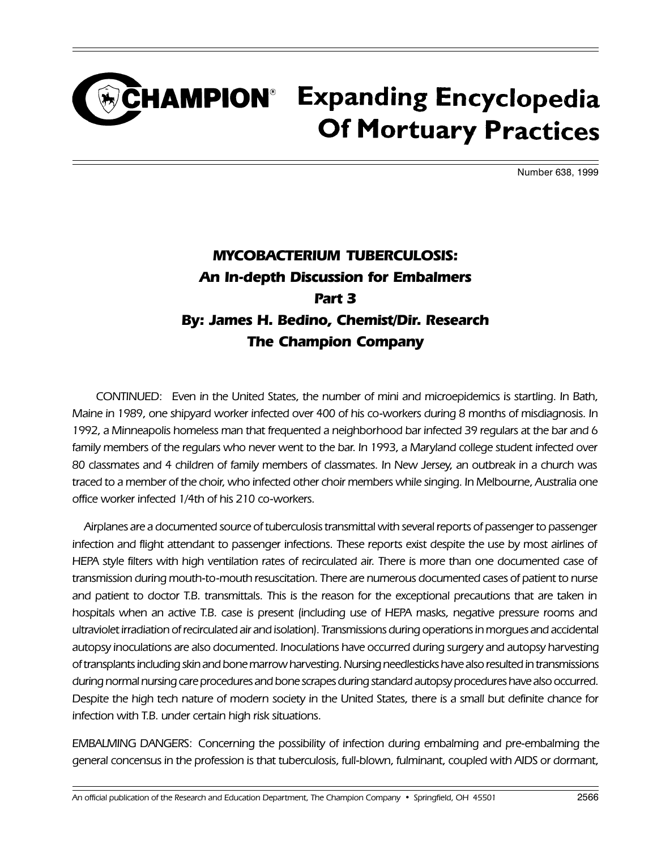## CHAMPION<sup>®</sup> Expanding Encyclopedia **Of Mortuary Practices**

Number 638, 1999

## MYCOBACTERIUM TUBERCULOSIS: An In-depth Discussion for Embalmers Part 3 By: James H. Bedino, Chemist/Dir. Research The Champion Company

CONTINUED: Even in the United States, the number of mini and microepidemics is startling. In Bath, Maine in 1989, one shipyard worker infected over 400 of his co-workers during 8 months of misdiagnosis. In 1992, a Minneapolis homeless man that frequented a neighborhood bar infected 39 regulars at the bar and 6 family members of the regulars who never went to the bar. In 1993, a Maryland college student infected over 80 classmates and 4 children of family members of classmates. In New Jersey, an outbreak in a church was traced to a member of the choir, who infected other choir members while singing. In Melbourne, Australia one office worker infected 1/4th of his 210 co-workers.

Airplanes are a documented source of tuberculosis transmittal with several reports of passenger to passenger infection and flight attendant to passenger infections. These reports exist despite the use by most airlines of HEPA style filters with high ventilation rates of recirculated air. There is more than one documented case of transmission during mouth-to-mouth resuscitation. There are numerous documented cases of patient to nurse and patient to doctor T.B. transmittals. This is the reason for the exceptional precautions that are taken in hospitals when an active T.B. case is present (including use of HEPA masks, negative pressure rooms and ultraviolet irradiation of recirculated air and isolation). Transmissions during operations in morgues and accidental autopsy inoculations are also documented. Inoculations have occurred during surgery and autopsy harvesting of transplants including skin and bone marrow harvesting. Nursing needlesticks have also resulted in transmissions during normal nursing care procedures and bone scrapes during standard autopsy procedures have also occurred. Despite the high tech nature of modern society in the United States, there is a small but definite chance for infection with T.B. under certain high risk situations.

EMBALMING DANGERS: Concerning the possibility of infection during embalming and pre-embalming the general concensus in the profession is that tuberculosis, full-blown, fulminant, coupled with AIDS or dormant,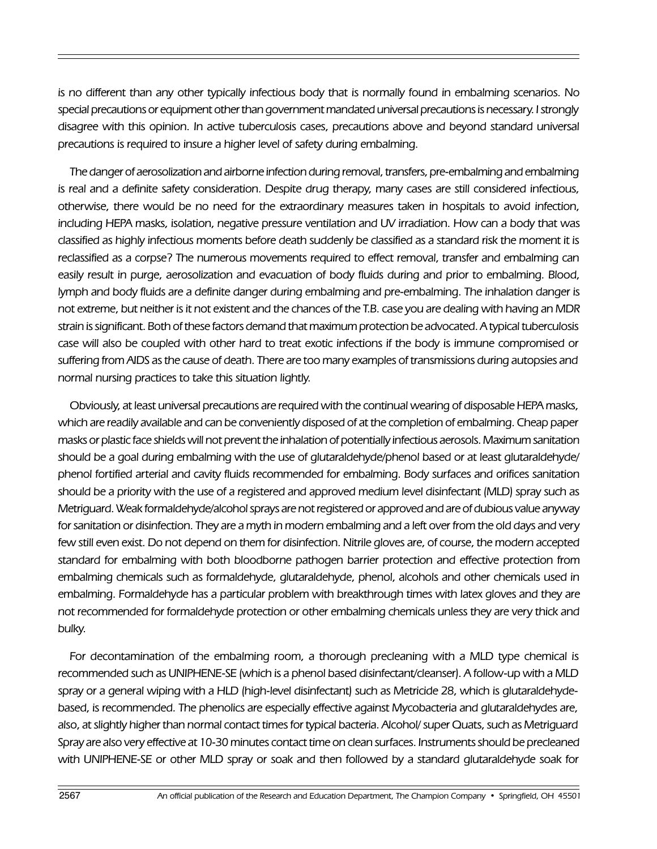is no different than any other typically infectious body that is normally found in embalming scenarios. No special precautions or equipment other than government mandated universal precautions is necessary. I strongly disagree with this opinion. In active tuberculosis cases, precautions above and beyond standard universal precautions is required to insure a higher level of safety during embalming.

The danger of aerosolization and airborne infection during removal, transfers, pre-embalming and embalming is real and a definite safety consideration. Despite drug therapy, many cases are still considered infectious, otherwise, there would be no need for the extraordinary measures taken in hospitals to avoid infection, including HEPA masks, isolation, negative pressure ventilation and UV irradiation. How can a body that was classified as highly infectious moments before death suddenly be classified as a standard risk the moment it is reclassified as a corpse? The numerous movements required to effect removal, transfer and embalming can easily result in purge, aerosolization and evacuation of body fluids during and prior to embalming. Blood, lymph and body fluids are a definite danger during embalming and pre-embalming. The inhalation danger is not extreme, but neither is it not existent and the chances of the T.B. case you are dealing with having an MDR strain is significant. Both of these factors demand that maximum protection be advocated. A typical tuberculosis case will also be coupled with other hard to treat exotic infections if the body is immune compromised or suffering from AIDS as the cause of death. There are too many examples of transmissions during autopsies and normal nursing practices to take this situation lightly.

Obviously, at least universal precautions are required with the continual wearing of disposable HEPA masks, which are readily available and can be conveniently disposed of at the completion of embalming. Cheap paper masks or plastic face shields will not prevent the inhalation of potentially infectious aerosols. Maximum sanitation should be a goal during embalming with the use of glutaraldehyde/phenol based or at least glutaraldehyde/ phenol fortified arterial and cavity fluids recommended for embalming. Body surfaces and orifices sanitation should be a priority with the use of a registered and approved medium level disinfectant (MLD) spray such as Metriguard. Weak formaldehyde/alcohol sprays are not registered or approved and are of dubious value anyway for sanitation or disinfection. They are a myth in modern embalming and a left over from the old days and very few still even exist. Do not depend on them for disinfection. Nitrile gloves are, of course, the modern accepted standard for embalming with both bloodborne pathogen barrier protection and effective protection from embalming chemicals such as formaldehyde, glutaraldehyde, phenol, alcohols and other chemicals used in embalming. Formaldehyde has a particular problem with breakthrough times with latex gloves and they are not recommended for formaldehyde protection or other embalming chemicals unless they are very thick and bulky.

For decontamination of the embalming room, a thorough precleaning with a MLD type chemical is recommended such as UNIPHENE-SE (which is a phenol based disinfectant/cleanser). A follow-up with a MLD spray or a general wiping with a HLD (high-level disinfectant) such as Metricide 28, which is glutaraldehydebased, is recommended. The phenolics are especially effective against Mycobacteria and glutaraldehydes are, also, at slightly higher than normal contact times for typical bacteria. Alcohol/ super Quats, such as Metriguard Spray are also very effective at 10-30 minutes contact time on clean surfaces. Instruments should be precleaned with UNIPHENE-SE or other MLD spray or soak and then followed by a standard glutaraldehyde soak for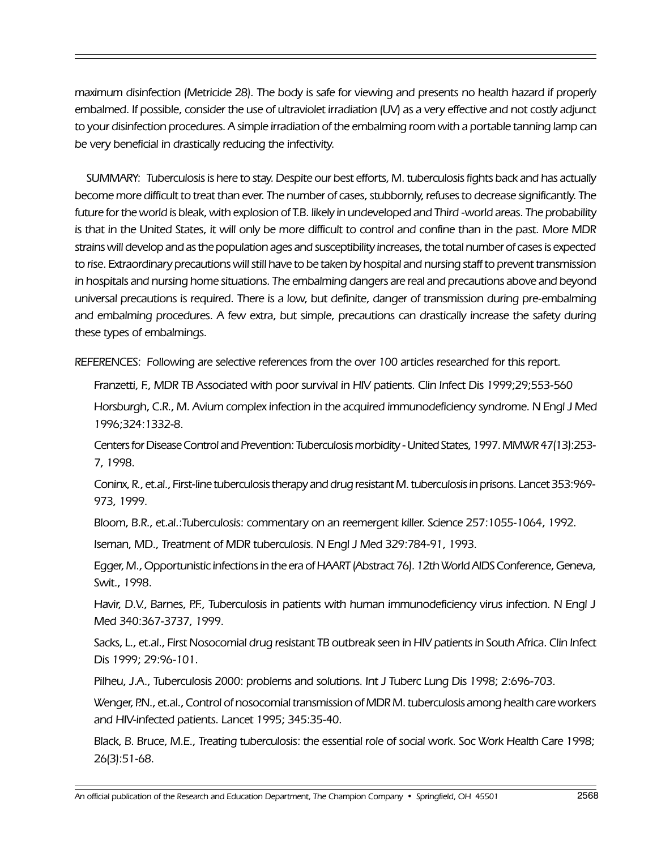maximum disinfection (Metricide 28). The body is safe for viewing and presents no health hazard if properly embalmed. If possible, consider the use of ultraviolet irradiation (UV) as a very effective and not costly adjunct to your disinfection procedures. A simple irradiation of the embalming room with a portable tanning lamp can be very beneficial in drastically reducing the infectivity.

SUMMARY: Tuberculosis is here to stay. Despite our best efforts, M. tuberculosis fights back and has actually become more difficult to treat than ever. The number of cases, stubbornly, refuses to decrease significantly. The future for the world is bleak, with explosion of T.B. likely in undeveloped and Third -world areas. The probability is that in the United States, it will only be more difficult to control and confine than in the past. More MDR strains will develop and as the population ages and susceptibility increases, the total number of cases is expected to rise. Extraordinary precautions will still have to be taken by hospital and nursing staff to prevent transmission in hospitals and nursing home situations. The embalming dangers are real and precautions above and beyond universal precautions is required. There is a low, but definite, danger of transmission during pre-embalming and embalming procedures. A few extra, but simple, precautions can drastically increase the safety during these types of embalmings.

REFERENCES: Following are selective references from the over 100 articles researched for this report.

Franzetti, F., MDR TB Associated with poor survival in HIV patients. Clin Infect Dis 1999;29;553-560

Horsburgh, C.R., M. Avium complex infection in the acquired immunodeficiency syndrome. N Engl J Med 1996;324:1332-8.

Centers for Disease Control and Prevention: Tuberculosis morbidity - United States, 1997. MMWR 47(13):253- 7, 1998.

Coninx, R., et.al., First-line tuberculosis therapy and drug resistant M. tuberculosis in prisons. Lancet 353:969- 973, 1999.

Bloom, B.R., et.al.:Tuberculosis: commentary on an reemergent killer. Science 257:1055-1064, 1992.

Iseman, MD., Treatment of MDR tuberculosis. N Engl J Med 329:784-91, 1993.

Egger, M., Opportunistic infections in the era of HAART (Abstract 76). 12th World AIDS Conference, Geneva, Swit., 1998.

Havir, D.V., Barnes, P.F., Tuberculosis in patients with human immunodeficiency virus infection. N Engl J Med 340:367-3737, 1999.

Sacks, L., et.al., First Nosocomial drug resistant TB outbreak seen in HIV patients in South Africa. Clin Infect Dis 1999; 29:96-101.

Pilheu, J.A., Tuberculosis 2000: problems and solutions. Int J Tuberc Lung Dis 1998; 2:696-703.

Wenger, P.N., et.al., Control of nosocomial transmission of MDR M. tuberculosis among health care workers and HIV-infected patients. Lancet 1995; 345:35-40.

Black, B. Bruce, M.E., Treating tuberculosis: the essential role of social work. Soc Work Health Care 1998; 26(3):51-68.